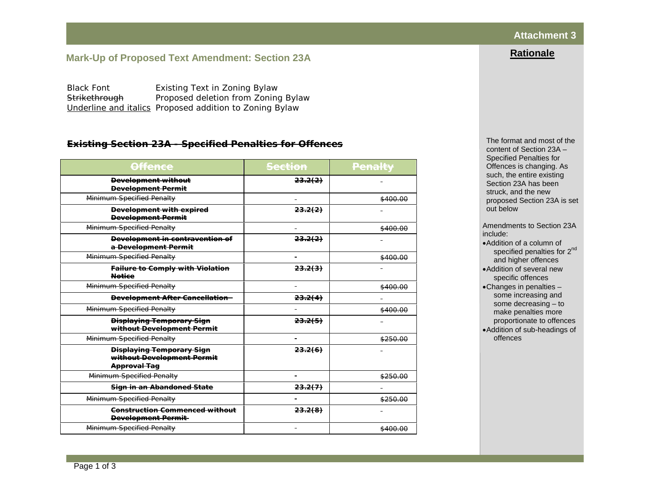## **Attachment 3**

**Rationale**

# **Mark-Up of Proposed Text Amendment: Section 23A**

Black Font Existing Text in Zoning Bylaw Strikethrough Proposed deletion from Zoning Bylaw *Underline and italics* Proposed addition to Zoning Bylaw

#### *Existing Section 23A - Specified Penalties for Offences*

| <u>Offence</u>                                                                        | <del>Section</del> | <b>Penalty</b> |
|---------------------------------------------------------------------------------------|--------------------|----------------|
| <b>Development without</b><br><b>Development Permit</b>                               | 23.2(2)            |                |
| Minimum Specified Penalty                                                             |                    | \$400.00       |
| <b>Development with expired</b><br><b>Bevelopment Permit</b>                          | 23.2(2)            |                |
| Minimum Specified Penalty                                                             |                    | \$400.00       |
| <b>Development in contravention of</b><br>a Development Permit                        | 23.2(2)            |                |
| Minimum Specified Penalty                                                             |                    | \$400.00       |
| <b>Failure to Comply with Violation</b><br><b>Notice</b>                              | 23.2(3)            |                |
| Minimum Specified Penalty                                                             |                    | \$400.00       |
| <b>Development After Cancellation-</b>                                                | 23.2(4)            |                |
| Minimum Specified Penalty                                                             |                    | \$400.00       |
| <b>Displaying Temporary Sign</b><br>without Development Permit                        | 23.2(5)            |                |
| Minimum Specified Penalty                                                             |                    | \$250.00       |
| <b>Displaying Temporary Sign</b><br>without Development Permit<br><b>Approval Tag</b> | 23.2(6)            |                |
| Minimum Specified Penalty                                                             |                    | \$250.00       |
| Sign in an Abandoned State                                                            | 23.2(7)            |                |
| Minimum Specified Penalty                                                             |                    | \$250.00       |
| <b>Construction Commenced without</b><br><b>Development Permit-</b>                   | 23.2(0)            |                |
| Minimum Specified Penalty                                                             |                    | \$400.00       |

The format and most of the content of Section 23A – Specified Penalties for Offences is changing. As such, the entire existing Section 23A has been struck, and the new proposed Section 23A is set out below

Amendments to Section 23A include:

- •Addition of a column of specified penalties for 2<sup>nd</sup> and higher offences
- •Addition of several new specific offences
- •Changes in penalties some increasing and some decreasing – to make penalties more proportionate to offences •Addition of sub-headings of
- offences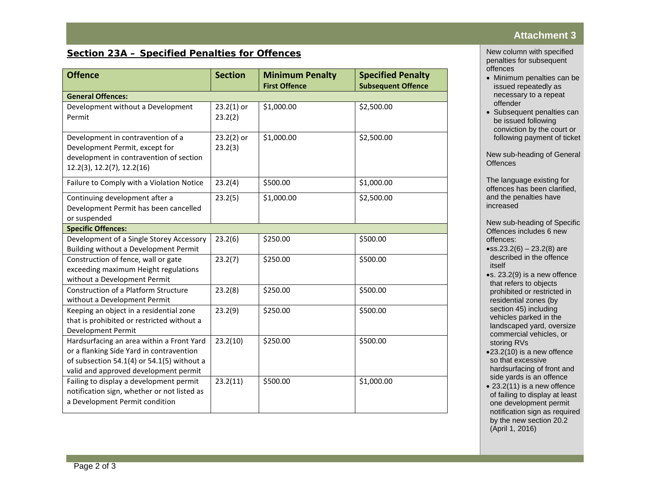# *Section 23A – Specified Penalties for Offences*

| <b>Offence</b>                                                                                                                                                               | <b>Section</b>          | <b>Minimum Penalty</b><br><b>First Offence</b> | <b>Specified Penalty</b><br><b>Subsequent Offence</b> |
|------------------------------------------------------------------------------------------------------------------------------------------------------------------------------|-------------------------|------------------------------------------------|-------------------------------------------------------|
| <b>General Offences:</b>                                                                                                                                                     |                         |                                                |                                                       |
| Development without a Development<br>Permit                                                                                                                                  | $23.2(1)$ or<br>23.2(2) | \$1,000.00                                     | \$2,500.00                                            |
| Development in contravention of a<br>Development Permit, except for<br>development in contravention of section<br>12.2(3), 12.2(7), 12.2(16)                                 | $23.2(2)$ or<br>23.2(3) | \$1,000.00                                     | \$2,500.00                                            |
| Failure to Comply with a Violation Notice                                                                                                                                    | 23.2(4)                 | \$500.00                                       | \$1,000.00                                            |
| Continuing development after a<br>Development Permit has been cancelled<br>or suspended                                                                                      | 23.2(5)                 | \$1,000.00                                     | \$2,500.00                                            |
| <b>Specific Offences:</b>                                                                                                                                                    |                         |                                                |                                                       |
| Development of a Single Storey Accessory<br>Building without a Development Permit                                                                                            | 23.2(6)                 | \$250.00                                       | \$500.00                                              |
| Construction of fence, wall or gate<br>exceeding maximum Height regulations<br>without a Development Permit                                                                  | 23.2(7)                 | \$250.00                                       | \$500.00                                              |
| Construction of a Platform Structure<br>without a Development Permit                                                                                                         | 23.2(8)                 | \$250.00                                       | \$500.00                                              |
| Keeping an object in a residential zone<br>that is prohibited or restricted without a<br><b>Development Permit</b>                                                           | 23.2(9)                 | \$250.00                                       | \$500.00                                              |
| Hardsurfacing an area within a Front Yard<br>or a flanking Side Yard in contravention<br>of subsection 54.1(4) or 54.1(5) without a<br>valid and approved development permit | 23.2(10)                | \$250.00                                       | \$500.00                                              |
| Failing to display a development permit<br>notification sign, whether or not listed as<br>a Development Permit condition                                                     | 23.2(11)                | \$500.00                                       | \$1,000.00                                            |

### **Attachment 3**

New column with specified penalties for subsequent offences

- Minimum penalties can be issued repeatedly as necessary to a repeat offender
- Subsequent penalties can be issued following conviction by the court or following payment of ticket

New sub-heading of General **Offences** 

The language existing for offences has been clarified, and the penalties have increased

New sub-heading of Specific Offences includes 6 new offences:

- $\bullet$ ss.23.2(6) 23.2(8) are described in the offence itself
- •s. 23.2(9) is a new offence that refers to objects prohibited or restricted in residential zones (by section 45) including vehicles parked in the landscaped yard, oversize commercial vehicles, or storing RVs
- •23.2(10) is a new offence so that excessive hardsurfacing of front and side yards is an offence
- 23.2(11) is a new offence of failing to display at least one development permit notification sign as required by the new section 20.2 (April 1, 2016)